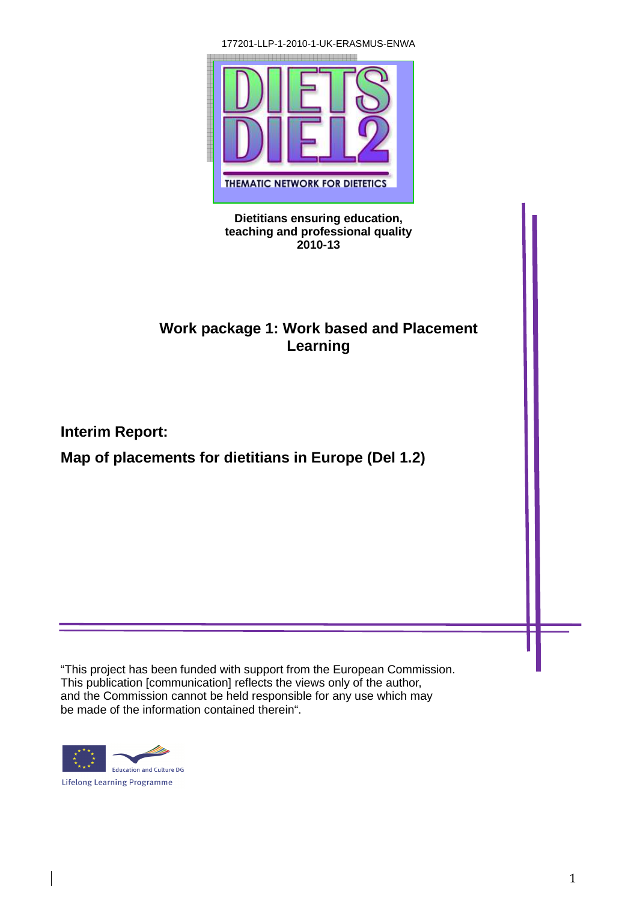177201-LLP-1-2010-1-UK-ERASMUS-ENWA



#### **Dietitians ensuring education, teaching and professional quality 2010-13**

# **Work package 1: Work based and Placement Learning**

**Interim Report:** 

**Map of placements for dietitians in Europe (Del 1.2)** 

"This project has been funded with support from the European Commission. This publication [communication] reflects the views only of the author, and the Commission cannot be held responsible for any use which may be made of the information contained therein".



Е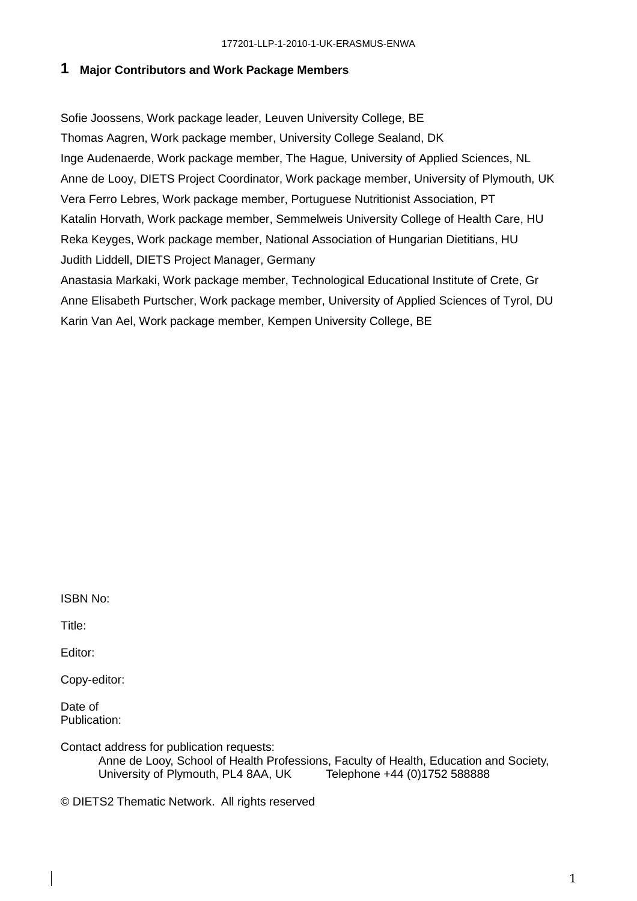## **1 Major Contributors and Work Package Members**

Sofie Joossens, Work package leader, Leuven University College, BE Thomas Aagren, Work package member, University College Sealand, DK Inge Audenaerde, Work package member, The Hague, University of Applied Sciences, NL Anne de Looy, DIETS Project Coordinator, Work package member, University of Plymouth, UK Vera Ferro Lebres, Work package member, Portuguese Nutritionist Association, PT Katalin Horvath, Work package member, Semmelweis University College of Health Care, HU Reka Keyges, Work package member, National Association of Hungarian Dietitians, HU Judith Liddell, DIETS Project Manager, Germany

Anastasia Markaki, Work package member, Technological Educational Institute of Crete, Gr Anne Elisabeth Purtscher, Work package member, University of Applied Sciences of Tyrol, DU Karin Van Ael, Work package member, Kempen University College, BE

ISBN No:

Title:

Editor:

Copy-editor:

Date of Publication:

Contact address for publication requests:

Anne de Looy, School of Health Professions, Faculty of Health, Education and Society, University of Plymouth, PL4 8AA, UK Telephone +44 (0)1752 588888

© DIETS2 Thematic Network. All rights reserved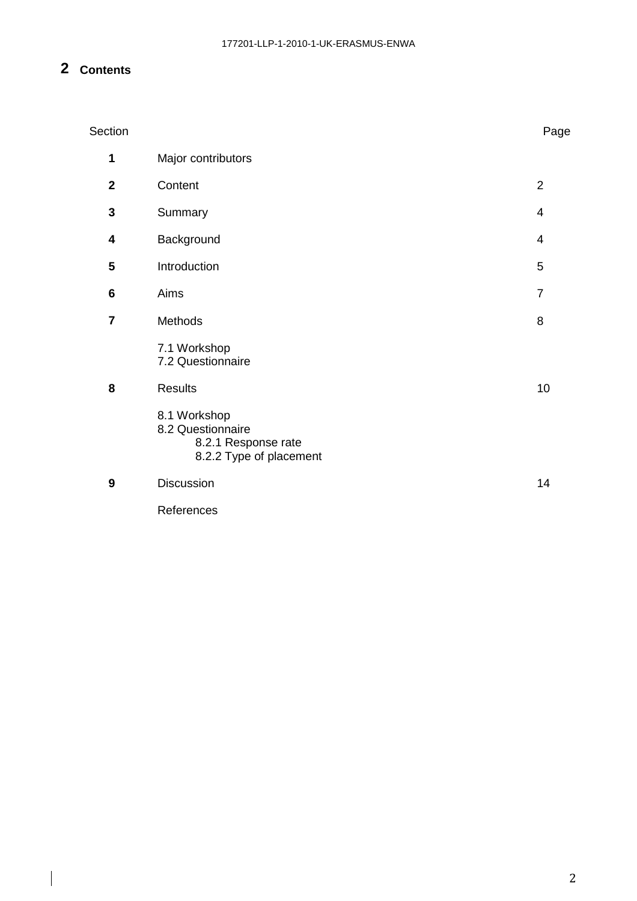# **2 Contents**

| Section        |                                                                                     | Page           |
|----------------|-------------------------------------------------------------------------------------|----------------|
| 1              | Major contributors                                                                  |                |
| $\overline{2}$ | Content                                                                             | $\overline{2}$ |
| 3              | Summary                                                                             | 4              |
| 4              | Background                                                                          | $\overline{4}$ |
| 5              | Introduction                                                                        | 5              |
| 6              | Aims                                                                                | $\overline{7}$ |
| $\overline{7}$ | Methods                                                                             | 8              |
|                | 7.1 Workshop<br>7.2 Questionnaire                                                   |                |
| 8              | <b>Results</b>                                                                      | 10             |
|                | 8.1 Workshop<br>8.2 Questionnaire<br>8.2.1 Response rate<br>8.2.2 Type of placement |                |
| 9              | Discussion                                                                          | 14             |
|                | References                                                                          |                |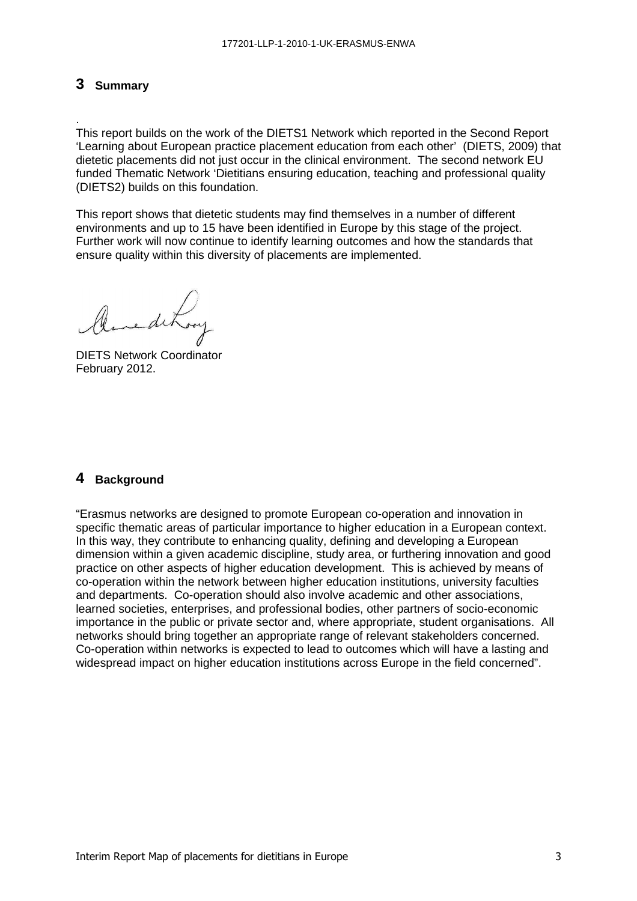## **3 Summary**

.

This report builds on the work of the DIETS1 Network which reported in the Second Report 'Learning about European practice placement education from each other' (DIETS, 2009) that dietetic placements did not just occur in the clinical environment. The second network EU funded Thematic Network 'Dietitians ensuring education, teaching and professional quality (DIETS2) builds on this foundation.

This report shows that dietetic students may find themselves in a number of different environments and up to 15 have been identified in Europe by this stage of the project. Further work will now continue to identify learning outcomes and how the standards that ensure quality within this diversity of placements are implemented.

DIETS Network Coordinator February 2012.

#### **4 Background**

"Erasmus networks are designed to promote European co-operation and innovation in specific thematic areas of particular importance to higher education in a European context. In this way, they contribute to enhancing quality, defining and developing a European dimension within a given academic discipline, study area, or furthering innovation and good practice on other aspects of higher education development. This is achieved by means of co-operation within the network between higher education institutions, university faculties and departments. Co-operation should also involve academic and other associations, learned societies, enterprises, and professional bodies, other partners of socio-economic importance in the public or private sector and, where appropriate, student organisations. All networks should bring together an appropriate range of relevant stakeholders concerned. Co-operation within networks is expected to lead to outcomes which will have a lasting and widespread impact on higher education institutions across Europe in the field concerned".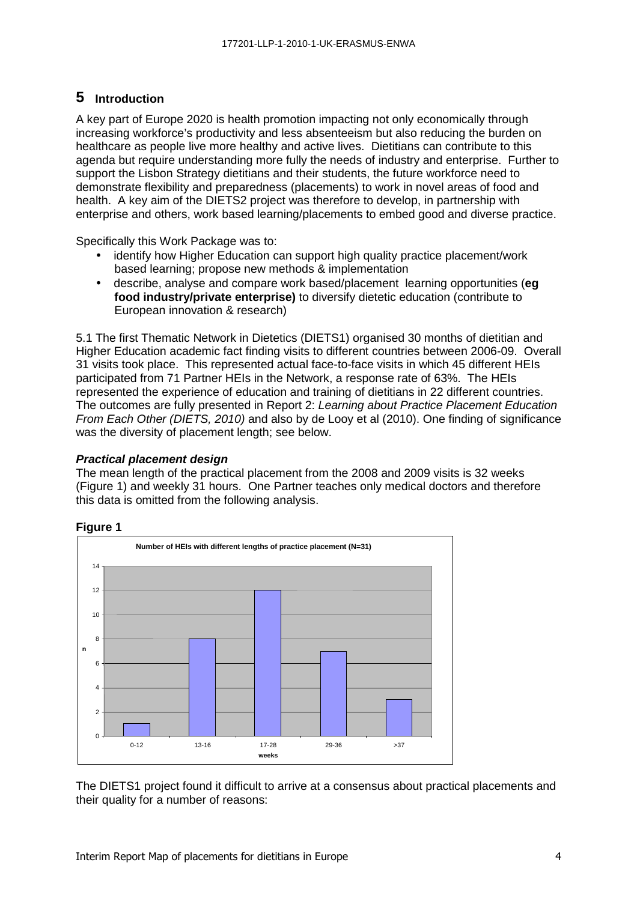# **5 Introduction**

A key part of Europe 2020 is health promotion impacting not only economically through increasing workforce's productivity and less absenteeism but also reducing the burden on healthcare as people live more healthy and active lives. Dietitians can contribute to this agenda but require understanding more fully the needs of industry and enterprise. Further to support the Lisbon Strategy dietitians and their students, the future workforce need to demonstrate flexibility and preparedness (placements) to work in novel areas of food and health. A key aim of the DIETS2 project was therefore to develop, in partnership with enterprise and others, work based learning/placements to embed good and diverse practice.

Specifically this Work Package was to:

- identify how Higher Education can support high quality practice placement/work based learning; propose new methods & implementation
- describe, analyse and compare work based/placement learning opportunities (**eg food industry/private enterprise)** to diversify dietetic education (contribute to European innovation & research)

5.1 The first Thematic Network in Dietetics (DIETS1) organised 30 months of dietitian and Higher Education academic fact finding visits to different countries between 2006-09. Overall 31 visits took place. This represented actual face-to-face visits in which 45 different HEIs participated from 71 Partner HEIs in the Network, a response rate of 63%. The HEIs represented the experience of education and training of dietitians in 22 different countries. The outcomes are fully presented in Report 2: Learning about Practice Placement Education From Each Other (DIETS, 2010) and also by de Looy et al (2010). One finding of significance was the diversity of placement length; see below.

#### **Practical placement design**

The mean length of the practical placement from the 2008 and 2009 visits is 32 weeks (Figure 1) and weekly 31 hours. One Partner teaches only medical doctors and therefore this data is omitted from the following analysis.

#### **Figure 1**



The DIETS1 project found it difficult to arrive at a consensus about practical placements and their quality for a number of reasons: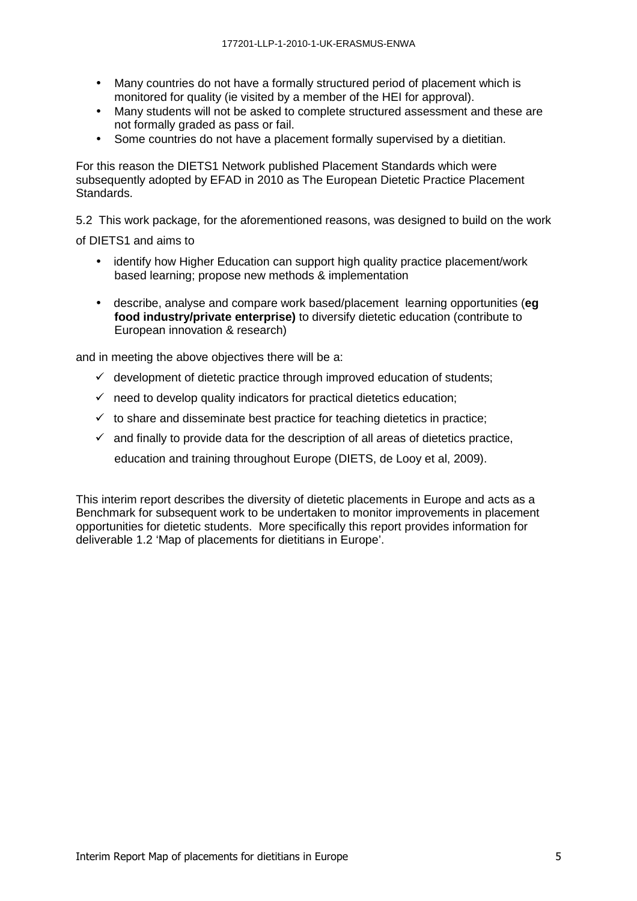- Many countries do not have a formally structured period of placement which is monitored for quality (ie visited by a member of the HEI for approval).
- Many students will not be asked to complete structured assessment and these are not formally graded as pass or fail.
- Some countries do not have a placement formally supervised by a dietitian.

For this reason the DIETS1 Network published Placement Standards which were subsequently adopted by EFAD in 2010 as The European Dietetic Practice Placement Standards.

5.2 This work package, for the aforementioned reasons, was designed to build on the work

of DIETS1 and aims to

- identify how Higher Education can support high quality practice placement/work based learning; propose new methods & implementation
- describe, analyse and compare work based/placement learning opportunities (**eg food industry/private enterprise)** to diversify dietetic education (contribute to European innovation & research)

and in meeting the above objectives there will be a:

- $\checkmark$  development of dietetic practice through improved education of students;
- $\checkmark$  need to develop quality indicators for practical dietetics education;
- $\checkmark$  to share and disseminate best practice for teaching dietetics in practice:
- $\checkmark$  and finally to provide data for the description of all areas of dietetics practice, education and training throughout Europe (DIETS, de Looy et al, 2009).

This interim report describes the diversity of dietetic placements in Europe and acts as a Benchmark for subsequent work to be undertaken to monitor improvements in placement opportunities for dietetic students. More specifically this report provides information for deliverable 1.2 'Map of placements for dietitians in Europe'.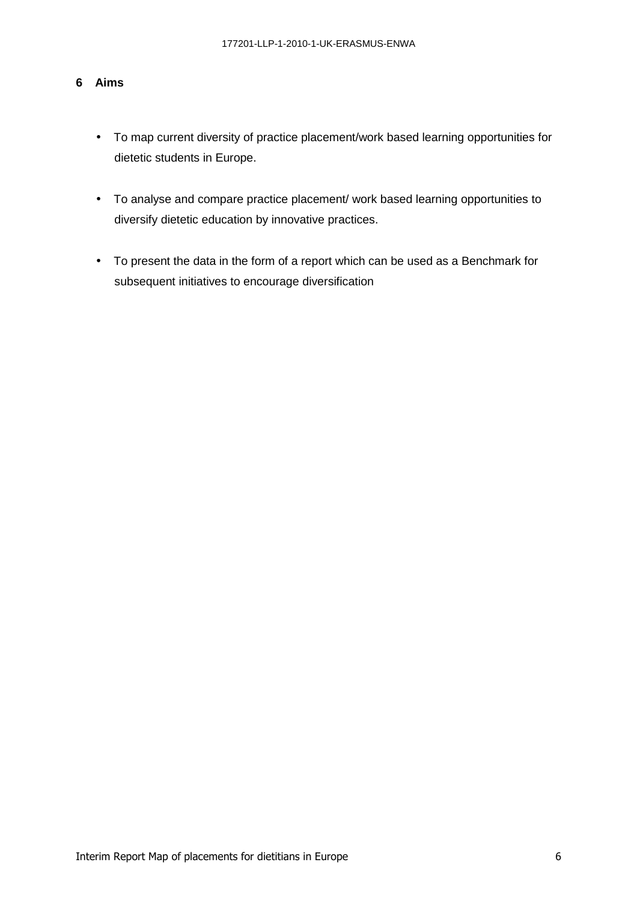#### **6 Aims**

- To map current diversity of practice placement/work based learning opportunities for dietetic students in Europe.
- To analyse and compare practice placement/ work based learning opportunities to diversify dietetic education by innovative practices.
- To present the data in the form of a report which can be used as a Benchmark for subsequent initiatives to encourage diversification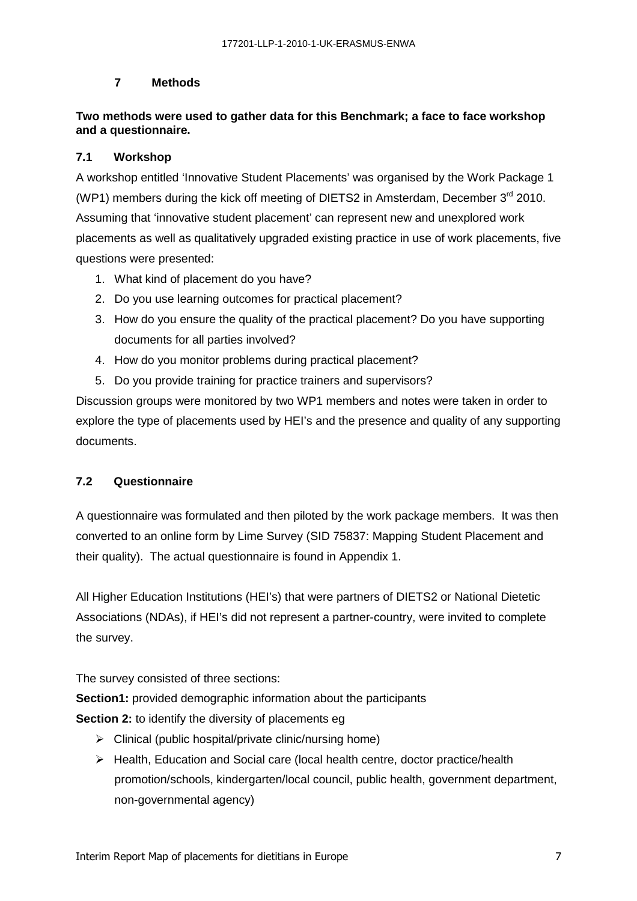## **7 Methods**

## **Two methods were used to gather data for this Benchmark; a face to face workshop and a questionnaire.**

## **7.1 Workshop**

A workshop entitled 'Innovative Student Placements' was organised by the Work Package 1 (WP1) members during the kick off meeting of DIETS2 in Amsterdam, December  $3<sup>rd</sup>$  2010. Assuming that 'innovative student placement' can represent new and unexplored work placements as well as qualitatively upgraded existing practice in use of work placements, five questions were presented:

- 1. What kind of placement do you have?
- 2. Do you use learning outcomes for practical placement?
- 3. How do you ensure the quality of the practical placement? Do you have supporting documents for all parties involved?
- 4. How do you monitor problems during practical placement?
- 5. Do you provide training for practice trainers and supervisors?

Discussion groups were monitored by two WP1 members and notes were taken in order to explore the type of placements used by HEI's and the presence and quality of any supporting documents.

## **7.2 Questionnaire**

A questionnaire was formulated and then piloted by the work package members. It was then converted to an online form by Lime Survey (SID 75837: Mapping Student Placement and their quality). The actual questionnaire is found in Appendix 1.

All Higher Education Institutions (HEI's) that were partners of DIETS2 or National Dietetic Associations (NDAs), if HEI's did not represent a partner-country, were invited to complete the survey.

The survey consisted of three sections:

**Section1:** provided demographic information about the participants

**Section 2:** to identify the diversity of placements eg

- > Clinical (public hospital/private clinic/nursing home)
- > Health, Education and Social care (local health centre, doctor practice/health promotion/schools, kindergarten/local council, public health, government department, non-governmental agency)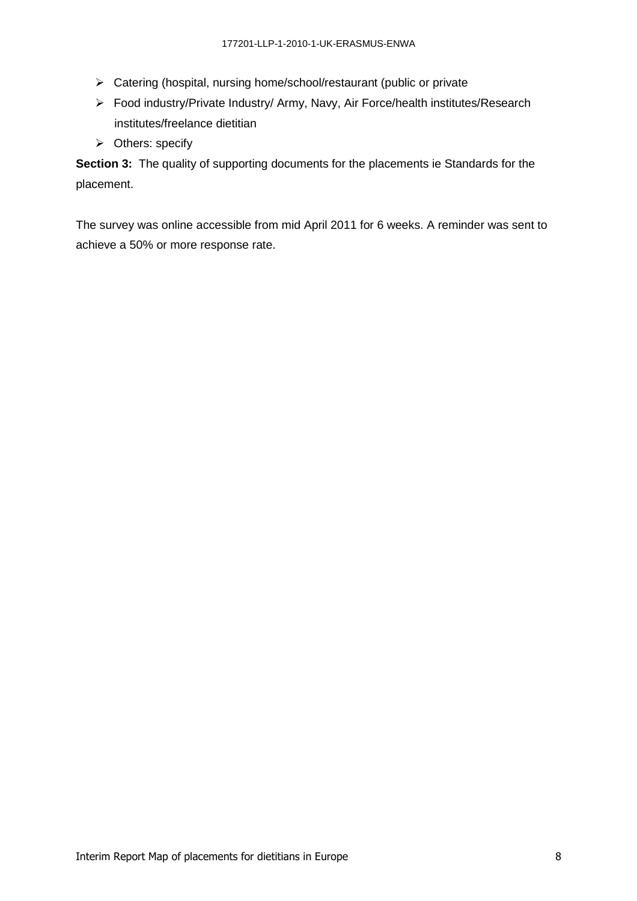- > Catering (hospital, nursing home/school/restaurant (public or private
- > Food industry/Private Industry/ Army, Navy, Air Force/health institutes/Research institutes/freelance dietitian
- > Others: specify

**Section 3:** The quality of supporting documents for the placements ie Standards for the placement.

The survey was online accessible from mid April 2011 for 6 weeks. A reminder was sent to achieve a 50% or more response rate.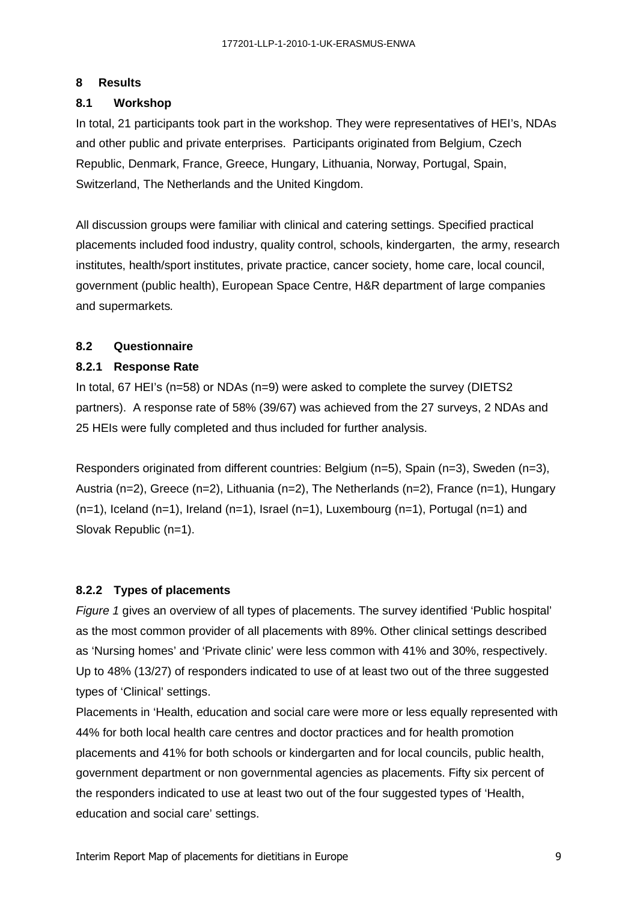## **8 Results**

## **8.1 Workshop**

In total, 21 participants took part in the workshop. They were representatives of HEI's, NDAs and other public and private enterprises. Participants originated from Belgium, Czech Republic, Denmark, France, Greece, Hungary, Lithuania, Norway, Portugal, Spain, Switzerland, The Netherlands and the United Kingdom.

All discussion groups were familiar with clinical and catering settings. Specified practical placements included food industry, quality control, schools, kindergarten, the army, research institutes, health/sport institutes, private practice, cancer society, home care, local council, government (public health), European Space Centre, H&R department of large companies and supermarkets.

## **8.2 Questionnaire**

## **8.2.1 Response Rate**

In total, 67 HEI's (n=58) or NDAs (n=9) were asked to complete the survey (DIETS2 partners). A response rate of 58% (39/67) was achieved from the 27 surveys, 2 NDAs and 25 HEIs were fully completed and thus included for further analysis.

Responders originated from different countries: Belgium (n=5), Spain (n=3), Sweden (n=3), Austria (n=2), Greece (n=2), Lithuania (n=2), The Netherlands (n=2), France (n=1), Hungary  $(n=1)$ , Iceland  $(n=1)$ , Ireland  $(n=1)$ , Israel  $(n=1)$ , Luxembourg  $(n=1)$ , Portugal  $(n=1)$  and Slovak Republic (n=1).

## **8.2.2 Types of placements**

Figure 1 gives an overview of all types of placements. The survey identified 'Public hospital' as the most common provider of all placements with 89%. Other clinical settings described as 'Nursing homes' and 'Private clinic' were less common with 41% and 30%, respectively. Up to 48% (13/27) of responders indicated to use of at least two out of the three suggested types of 'Clinical' settings.

Placements in 'Health, education and social care were more or less equally represented with 44% for both local health care centres and doctor practices and for health promotion placements and 41% for both schools or kindergarten and for local councils, public health, government department or non governmental agencies as placements. Fifty six percent of the responders indicated to use at least two out of the four suggested types of 'Health, education and social care' settings.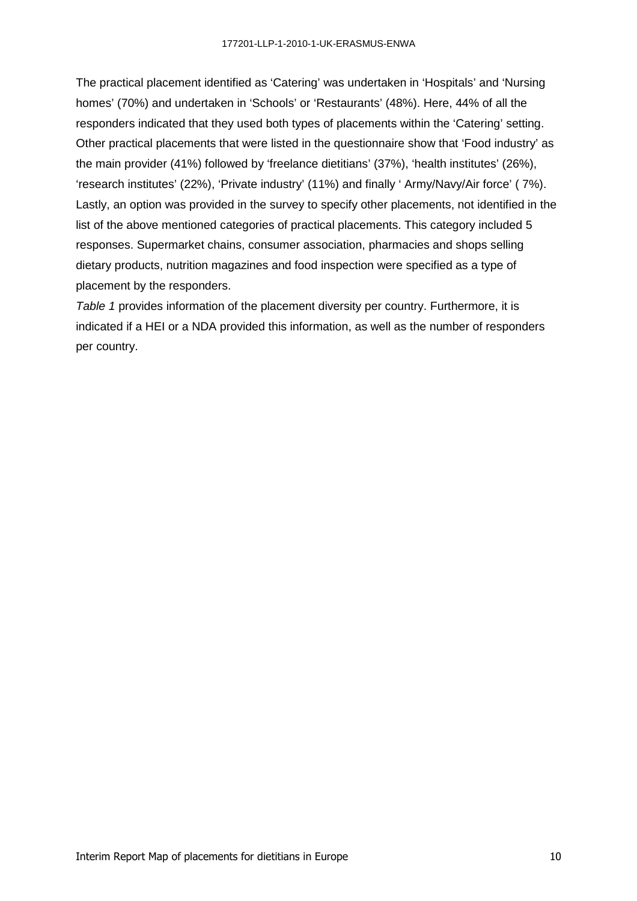The practical placement identified as 'Catering' was undertaken in 'Hospitals' and 'Nursing homes' (70%) and undertaken in 'Schools' or 'Restaurants' (48%). Here, 44% of all the responders indicated that they used both types of placements within the 'Catering' setting. Other practical placements that were listed in the questionnaire show that 'Food industry' as the main provider (41%) followed by 'freelance dietitians' (37%), 'health institutes' (26%), 'research institutes' (22%), 'Private industry' (11%) and finally ' Army/Navy/Air force' ( 7%). Lastly, an option was provided in the survey to specify other placements, not identified in the list of the above mentioned categories of practical placements. This category included 5 responses. Supermarket chains, consumer association, pharmacies and shops selling dietary products, nutrition magazines and food inspection were specified as a type of placement by the responders.

Table 1 provides information of the placement diversity per country. Furthermore, it is indicated if a HEI or a NDA provided this information, as well as the number of responders per country.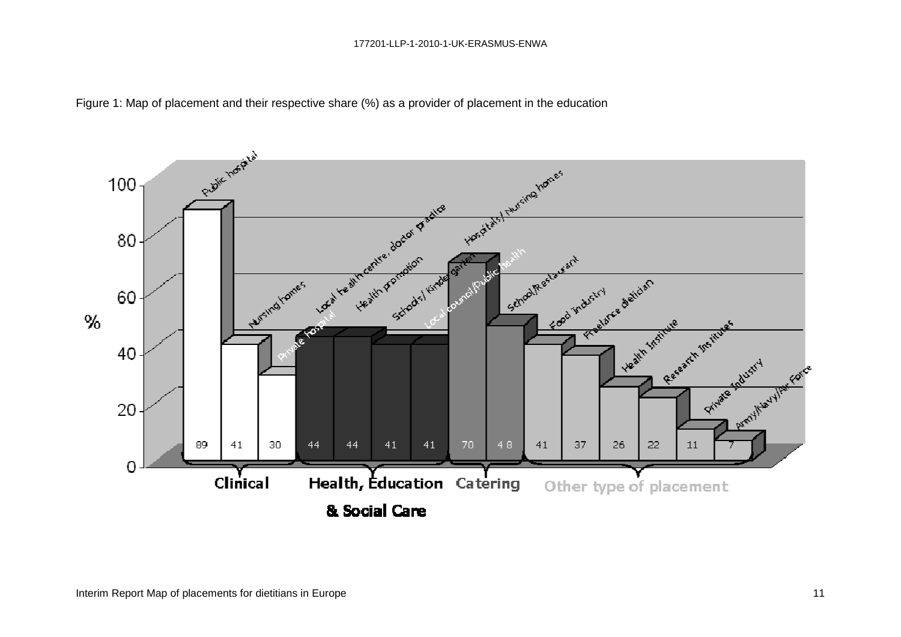

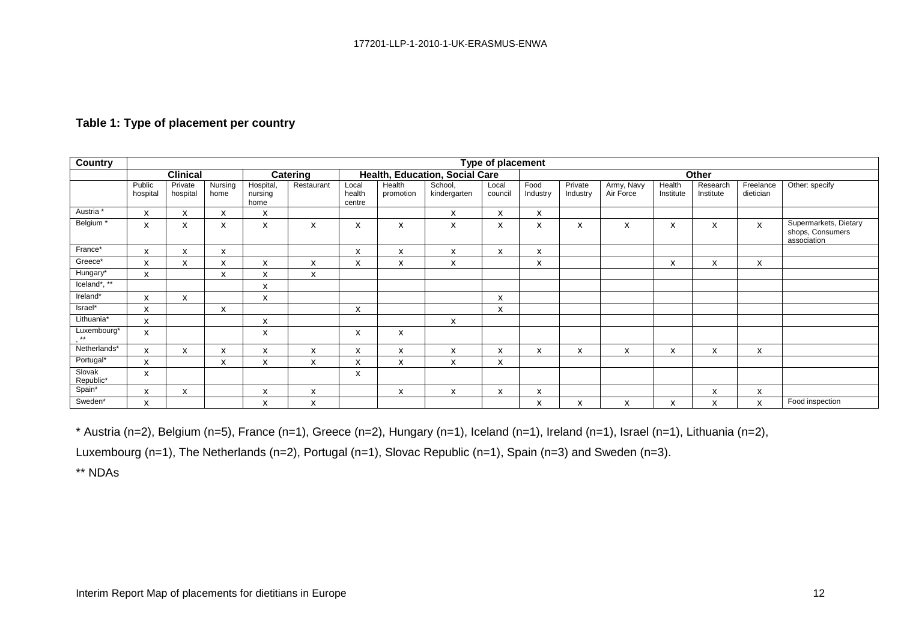| <b>Country</b>            | Type of placement  |                           |                 |                              |                                |                           |                           |                         |                  |                  |                     |                         |                     |                           |                        |                                                          |
|---------------------------|--------------------|---------------------------|-----------------|------------------------------|--------------------------------|---------------------------|---------------------------|-------------------------|------------------|------------------|---------------------|-------------------------|---------------------|---------------------------|------------------------|----------------------------------------------------------|
|                           | <b>Clinical</b>    |                           | Catering        |                              | Health, Education, Social Care |                           |                           |                         | <b>Other</b>     |                  |                     |                         |                     |                           |                        |                                                          |
|                           | Public<br>hospital | Private<br>hospital       | Nursing<br>home | Hospital,<br>nursing<br>home | Restaurant                     | Local<br>health<br>centre | Health<br>promotion       | School,<br>kindergarten | Local<br>council | Food<br>Industry | Private<br>Industry | Army, Navy<br>Air Force | Health<br>Institute | Research<br>Institute     | Freelance<br>dietician | Other: specify                                           |
| Austria *                 | X                  | $\boldsymbol{\mathsf{x}}$ | X               | X                            |                                |                           |                           | x                       | X                | X                |                     |                         |                     |                           |                        |                                                          |
| Belgium *                 | X                  | X                         | X               | X                            | X                              | $\boldsymbol{\mathsf{x}}$ | $\boldsymbol{\mathsf{x}}$ | x                       | X                | X                | X                   | X                       | X                   | $\boldsymbol{\mathsf{x}}$ | $\mathsf{x}$           | Supermarkets, Dietary<br>shops, Consumers<br>association |
| France*                   | X                  | X                         | x               |                              |                                | X                         | X                         | x                       | X                | x                |                     |                         |                     |                           |                        |                                                          |
| Greece*                   | X                  | $\boldsymbol{\mathsf{x}}$ | X               | X                            | X                              | X                         | X                         | X                       |                  | X                |                     |                         | X                   | X                         | X                      |                                                          |
| Hungary*                  | x                  |                           | X               | x                            | $\boldsymbol{\mathsf{x}}$      |                           |                           |                         |                  |                  |                     |                         |                     |                           |                        |                                                          |
| $Iceland*, \overline{**}$ |                    |                           |                 | X                            |                                |                           |                           |                         |                  |                  |                     |                         |                     |                           |                        |                                                          |
| Ireland*                  | X                  | $\boldsymbol{\mathsf{x}}$ |                 | X                            |                                |                           |                           |                         | X                |                  |                     |                         |                     |                           |                        |                                                          |
| Israel*                   | x                  |                           | X               |                              |                                | X                         |                           |                         | X                |                  |                     |                         |                     |                           |                        |                                                          |
| Lithuania*                | X                  |                           |                 | X                            |                                |                           |                           | x                       |                  |                  |                     |                         |                     |                           |                        |                                                          |
| Luxembourg*<br>$**$       | X                  |                           |                 | X                            |                                | X                         | $\boldsymbol{\mathsf{x}}$ |                         |                  |                  |                     |                         |                     |                           |                        |                                                          |
| Netherlands*              | X                  | X                         | x               | X                            | x                              | X                         | X                         | x                       | X                | X                | x                   | X                       | x                   | X                         | x                      |                                                          |
| Portugal*                 | X                  |                           | X               | x                            | x                              | X                         | X                         | X                       | X                |                  |                     |                         |                     |                           |                        |                                                          |
| Slovak<br>Republic*       | X                  |                           |                 |                              |                                | x                         |                           |                         |                  |                  |                     |                         |                     |                           |                        |                                                          |
| Spain*                    | X                  | X                         |                 | x                            | x                              |                           | X                         | X                       | X                | x                |                     |                         |                     | X                         | X                      |                                                          |
| Sweden*                   | x                  |                           |                 | x                            | x                              |                           |                           |                         |                  | x                | x                   | X                       | x                   | X                         | X                      | Food inspection                                          |

#### **Table 1: Type of placement per country**

\* Austria (n=2), Belgium (n=5), France (n=1), Greece (n=2), Hungary (n=1), Iceland (n=1), Ireland (n=1), Israel (n=1), Lithuania (n=2),

Luxembourg (n=1), The Netherlands (n=2), Portugal (n=1), Slovac Republic (n=1), Spain (n=3) and Sweden (n=3).

\*\* NDAs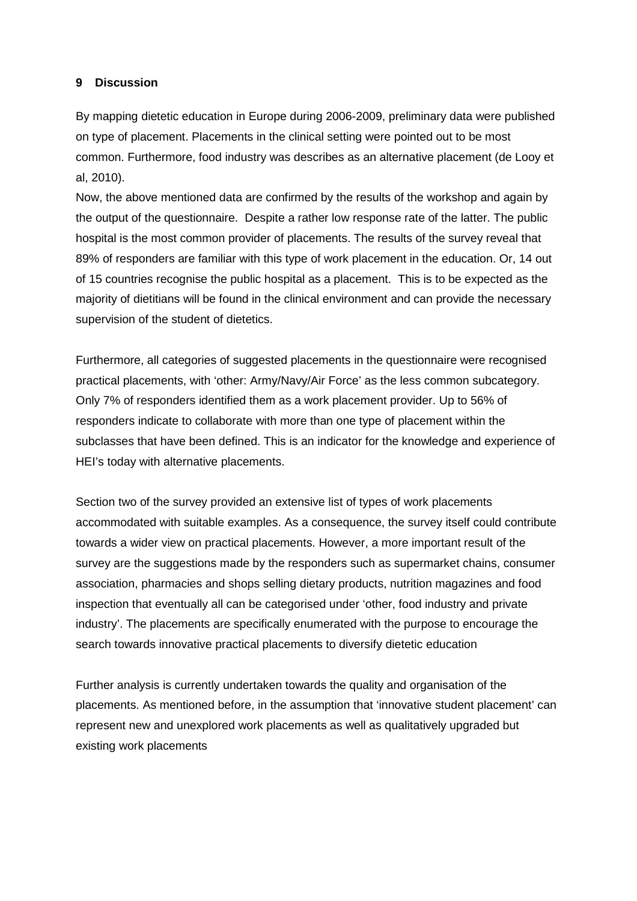#### **9 Discussion**

By mapping dietetic education in Europe during 2006-2009, preliminary data were published on type of placement. Placements in the clinical setting were pointed out to be most common. Furthermore, food industry was describes as an alternative placement (de Looy et al, 2010).

Now, the above mentioned data are confirmed by the results of the workshop and again by the output of the questionnaire. Despite a rather low response rate of the latter. The public hospital is the most common provider of placements. The results of the survey reveal that 89% of responders are familiar with this type of work placement in the education. Or, 14 out of 15 countries recognise the public hospital as a placement. This is to be expected as the majority of dietitians will be found in the clinical environment and can provide the necessary supervision of the student of dietetics.

Furthermore, all categories of suggested placements in the questionnaire were recognised practical placements, with 'other: Army/Navy/Air Force' as the less common subcategory. Only 7% of responders identified them as a work placement provider. Up to 56% of responders indicate to collaborate with more than one type of placement within the subclasses that have been defined. This is an indicator for the knowledge and experience of HEI's today with alternative placements.

Section two of the survey provided an extensive list of types of work placements accommodated with suitable examples. As a consequence, the survey itself could contribute towards a wider view on practical placements. However, a more important result of the survey are the suggestions made by the responders such as supermarket chains, consumer association, pharmacies and shops selling dietary products, nutrition magazines and food inspection that eventually all can be categorised under 'other, food industry and private industry'. The placements are specifically enumerated with the purpose to encourage the search towards innovative practical placements to diversify dietetic education

Further analysis is currently undertaken towards the quality and organisation of the placements. As mentioned before, in the assumption that 'innovative student placement' can represent new and unexplored work placements as well as qualitatively upgraded but existing work placements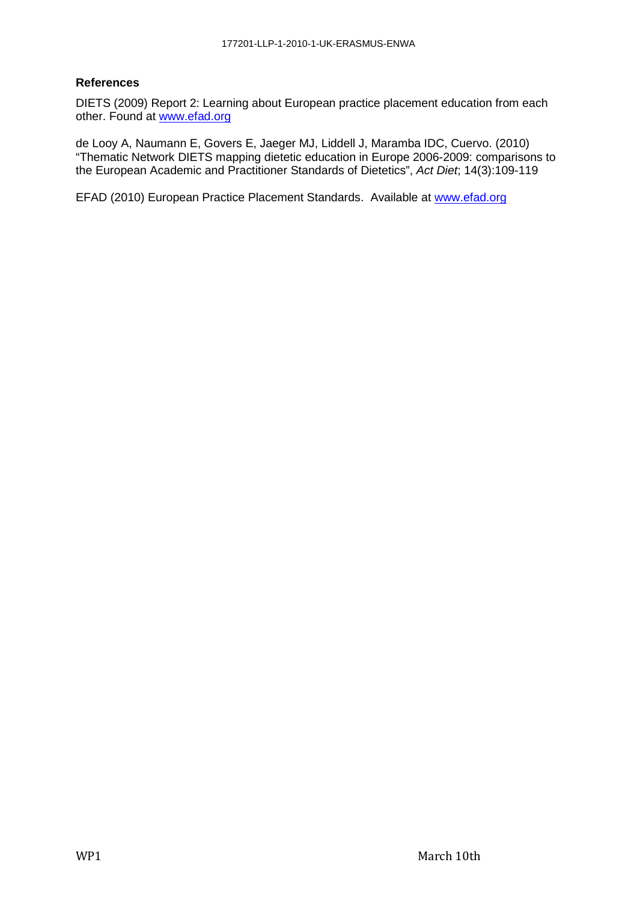#### **References**

DIETS (2009) Report 2: Learning about European practice placement education from each other. Found at www.efad.org

de Looy A, Naumann E, Govers E, Jaeger MJ, Liddell J, Maramba IDC, Cuervo. (2010) "Thematic Network DIETS mapping dietetic education in Europe 2006-2009: comparisons to the European Academic and Practitioner Standards of Dietetics", Act Diet; 14(3):109-119

EFAD (2010) European Practice Placement Standards. Available at www.efad.org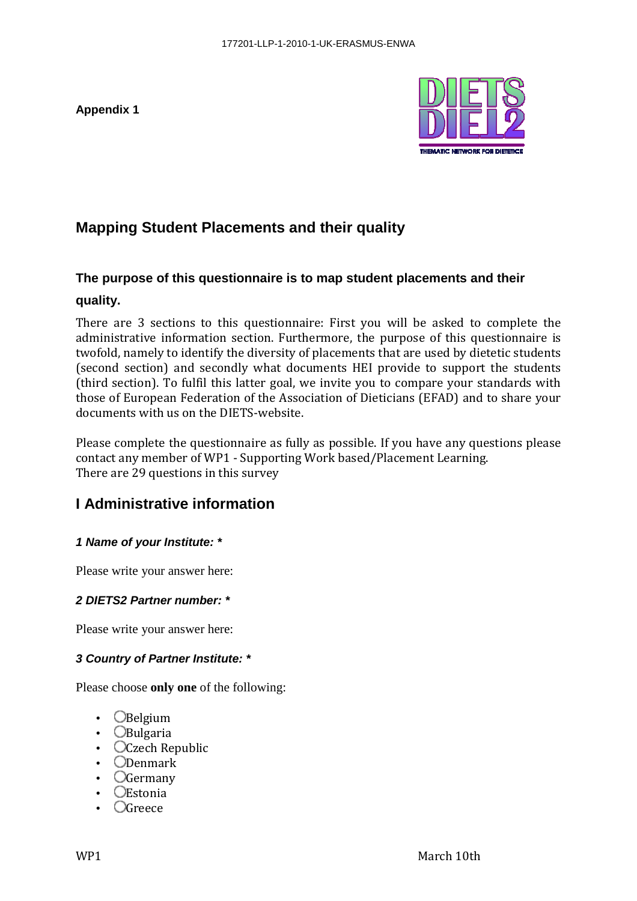**Appendix 1** 



# **Mapping Student Placements and their quality**

# **The purpose of this questionnaire is to map student placements and their**

# **quality.**

There are 3 sections to this questionnaire: First you will be asked to complete the administrative information section. Furthermore, the purpose of this questionnaire is twofold, namely to identify the diversity of placements that are used by dietetic students (second section) and secondly what documents HEI provide to support the students (third section). To fulfil this latter goal, we invite you to compare your standards with those of European Federation of the Association of Dieticians (EFAD) and to share your documents with us on the DIETS-website.

Please complete the questionnaire as fully as possible. If you have any questions please contact any member of WP1 - Supporting Work based/Placement Learning. There are 29 questions in this survey

# **I Administrative information**

# **1 Name of your Institute: \***

Please write your answer here:

## **2 DIETS2 Partner number: \***

Please write your answer here:

# **3 Country of Partner Institute: \***

Please choose **only one** of the following:

- $\bigcirc$ Belgium
- **OBulgaria**
- **OCzech Republic**
- Denmark
- Germany
- Estonia
- Greece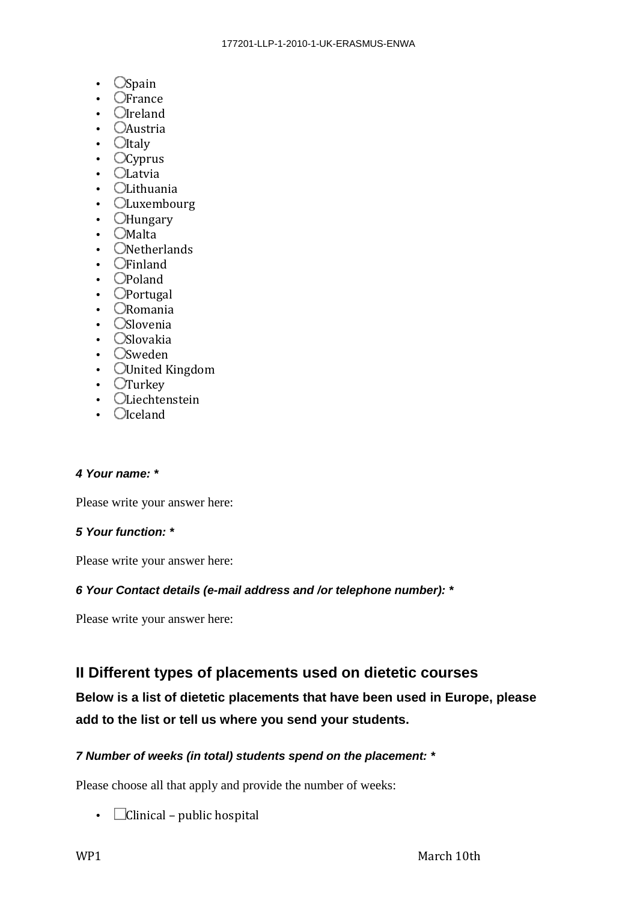- $Ospan$
- $\bullet$   $\bullet$  France
- $\bullet$   $Q$ Ireland
- **CAustria**
- $\bullet$   $\bullet$  Italy
- $Ocyprus$
- $\bullet$   $\Box$ Latvia
- **OLithuania**
- **CLuxembourg**
- **C**Hungary
- $\bullet$   $\Box$ Malta
- ONetherlands
- $\bullet$   $\bullet$  Finland
- $\bullet$   $\bullet$   $\bullet$  Poland
- $\bullet$   $\bullet$  Portugal
- Romania
- **Oslovenia**
- **Oslovakia**
- **O**Sweden
- **OUnited Kingdom**
- $\bullet$   $\sigma$ Turkey
- Liechtenstein
- $\bullet$   $\bigcirc$  Iceland

#### **4 Your name: \***

Please write your answer here:

## **5 Your function: \***

Please write your answer here:

## **6 Your Contact details (e-mail address and /or telephone number): \***

Please write your answer here:

# **II Different types of placements used on dietetic courses**

**Below is a list of dietetic placements that have been used in Europe, please add to the list or tell us where you send your students.** 

## **7 Number of weeks (in total) students spend on the placement: \***

Please choose all that apply and provide the number of weeks:

•  $\Box$ Clinical – public hospital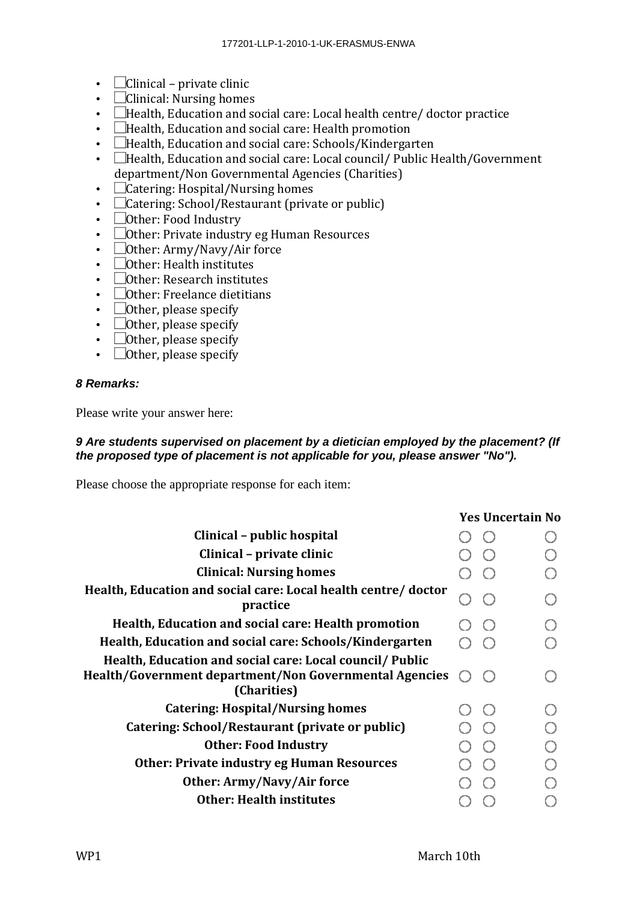- $\Box$ Clinical private clinic
- $\Box$ Clinical: Nursing homes
- $\Box$  Health, Education and social care: Local health centre/ doctor practice
- **Health, Education and social care: Health promotion**
- $\Box$  Health, Education and social care: Schools/Kindergarten
- $\Box$  Health, Education and social care: Local council / Public Health / Government department/Non Governmental Agencies (Charities)
- $\Box$  Catering: Hospital/Nursing homes
- $\Box$ Catering: School/Restaurant (private or public)
- Other: Food Industry
- $\Box$ Other: Private industry eg Human Resources
- $\Box$ Other: Army/Navy/Air force
- $\bullet$   $\Box$ Other: Health institutes
- $\Box$  Other: Research institutes
- $\bullet$   $\Box$ Other: Freelance dietitians
- $\bullet$   $\Box$  Other, please specify
- $\bullet$   $\Box$  Other, please specify
- $\bullet$   $\Box$  Other, please specify
- $\bullet$   $\Box$ Other, please specify

#### **8 Remarks:**

Please write your answer here:

#### **9 Are students supervised on placement by a dietician employed by the placement? (If the proposed type of placement is not applicable for you, please answer "No").**

Please choose the appropriate response for each item:

|                                                                                                                                   | <b>Yes Uncertain No</b> |  |  |
|-----------------------------------------------------------------------------------------------------------------------------------|-------------------------|--|--|
| Clinical – public hospital                                                                                                        |                         |  |  |
| Clinical – private clinic                                                                                                         |                         |  |  |
| <b>Clinical: Nursing homes</b>                                                                                                    |                         |  |  |
| Health, Education and social care: Local health centre/ doctor<br>practice                                                        |                         |  |  |
| Health, Education and social care: Health promotion                                                                               |                         |  |  |
| Health, Education and social care: Schools/Kindergarten                                                                           |                         |  |  |
| Health, Education and social care: Local council/ Public<br>Health/Government department/Non Governmental Agencies<br>(Charities) |                         |  |  |
| <b>Catering: Hospital/Nursing homes</b>                                                                                           |                         |  |  |
| Catering: School/Restaurant (private or public)                                                                                   |                         |  |  |
| <b>Other: Food Industry</b>                                                                                                       |                         |  |  |
| <b>Other: Private industry eg Human Resources</b>                                                                                 |                         |  |  |
| Other: Army/Navy/Air force                                                                                                        |                         |  |  |
| <b>Other: Health institutes</b>                                                                                                   |                         |  |  |
|                                                                                                                                   |                         |  |  |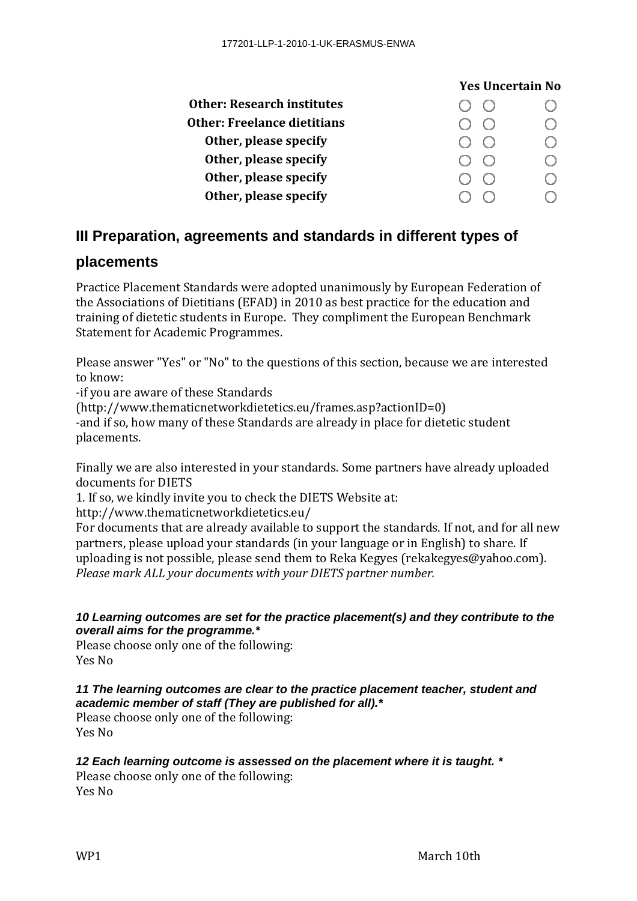| <b>Yes Uncertain No</b>                         |  |
|-------------------------------------------------|--|
| $(\ )$                                          |  |
|                                                 |  |
| $(\ )$<br>( )                                   |  |
| $\left( \begin{array}{c} 1 \end{array} \right)$ |  |
|                                                 |  |
|                                                 |  |
|                                                 |  |

# **III Preparation, agreements and standards in different types of**

# **placements**

Practice Placement Standards were adopted unanimously by European Federation of the Associations of Dietitians (EFAD) in 2010 as best practice for the education and training of dietetic students in Europe. They compliment the European Benchmark Statement for Academic Programmes.

Please answer "Yes" or "No" to the questions of this section, because we are interested to know:

-if you are aware of these Standards

(http://www.thematicnetworkdietetics.eu/frames.asp?actionID=0)

-and if so, how many of these Standards are already in place for dietetic student placements.

Finally we are also interested in your standards. Some partners have already uploaded documents for DIETS

1. If so, we kindly invite you to check the DIETS Website at:

http://www.thematicnetworkdietetics.eu/

For documents that are already available to support the standards. If not, and for all new partners, please upload your standards (in your language or in English) to share. If uploading is not possible, please send them to Reka Kegyes (rekakegyes@yahoo.com). *Please mark ALL your documents with your DIETS partner number.* 

## **10 Learning outcomes are set for the practice placement(s) and they contribute to the overall aims for the programme.\***

Please choose only one of the following: Yes No

## **11 The learning outcomes are clear to the practice placement teacher, student and academic member of staff (They are published for all).\***

Please choose only one of the following: Yes No

# **12 Each learning outcome is assessed on the placement where it is taught. \***

Please choose only one of the following: Yes No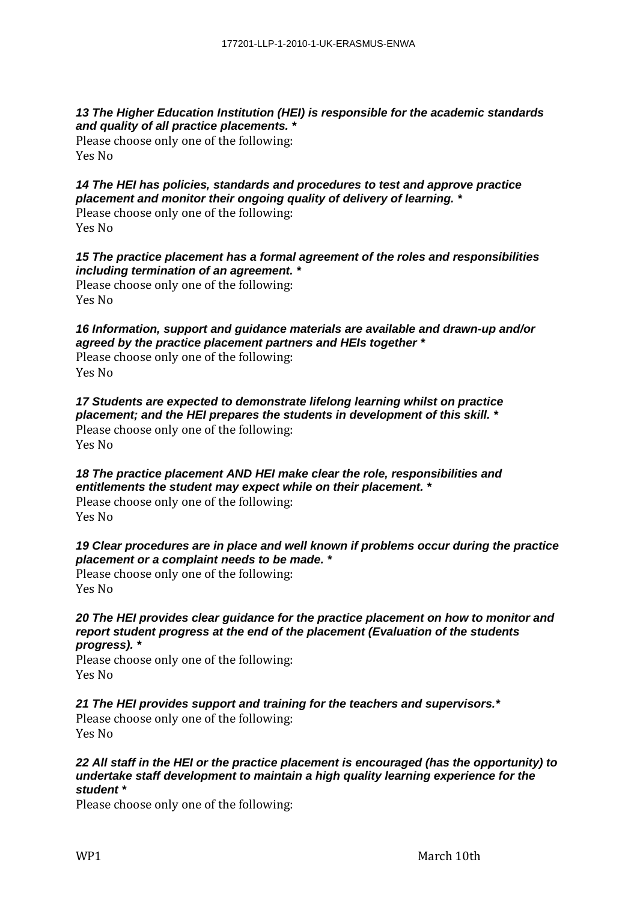#### **13 The Higher Education Institution (HEI) is responsible for the academic standards and quality of all practice placements. \***

Please choose only one of the following: Yes No

# **14 The HEI has policies, standards and procedures to test and approve practice placement and monitor their ongoing quality of delivery of learning. \***

Please choose only one of the following: Yes No

## **15 The practice placement has a formal agreement of the roles and responsibilities including termination of an agreement. \***

Please choose only one of the following: Yes No

## **16 Information, support and guidance materials are available and drawn-up and/or agreed by the practice placement partners and HEIs together \***

Please choose only one of the following: Yes No

#### **17 Students are expected to demonstrate lifelong learning whilst on practice placement; and the HEI prepares the students in development of this skill. \***

Please choose only one of the following: Yes No

# **18 The practice placement AND HEI make clear the role, responsibilities and entitlements the student may expect while on their placement. \***

Please choose only one of the following: Yes No

## **19 Clear procedures are in place and well known if problems occur during the practice placement or a complaint needs to be made. \***

Please choose only one of the following: Yes No

#### **20 The HEI provides clear guidance for the practice placement on how to monitor and report student progress at the end of the placement (Evaluation of the students progress). \***

Please choose only one of the following: Yes No

# **21 The HEI provides support and training for the teachers and supervisors.\***

Please choose only one of the following: Yes No

#### **22 All staff in the HEI or the practice placement is encouraged (has the opportunity) to undertake staff development to maintain a high quality learning experience for the student \***

Please choose only one of the following: